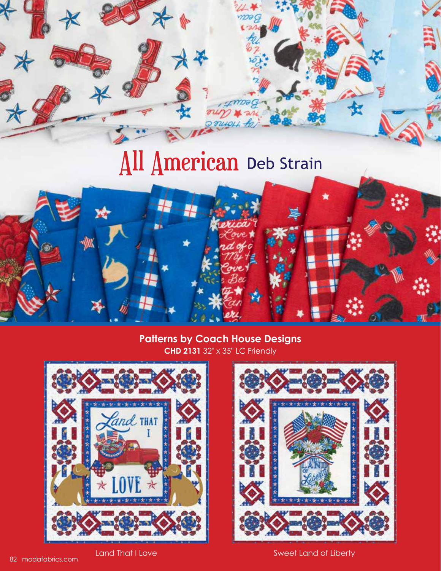# All American Deb Strain

#### **CHD 2131** 32" x 35" LC Friendly **Patterns by Coach House Designs**





Land That I Love Sweet Land of Liberty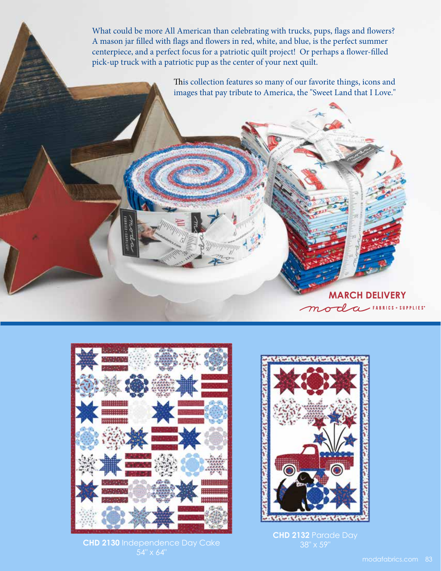What could be more All American than celebrating with trucks, pups, flags and flowers? A mason jar filled with flags and flowers in red, white, and blue, is the perfect summer centerpiece, and a perfect focus for a patriotic quilt project! Or perhaps a flower-filled pick-up truck with a patriotic pup as the center of your next quilt.

> This collection features so many of our favorite things, icons and images that pay tribute to America, the "Sweet Land that I Love."



**CHD 2130** Independence Day Cake 54" x 64"



**MARCH DELIVERY** 

**CHD 2132** Parade Day 38" x 59"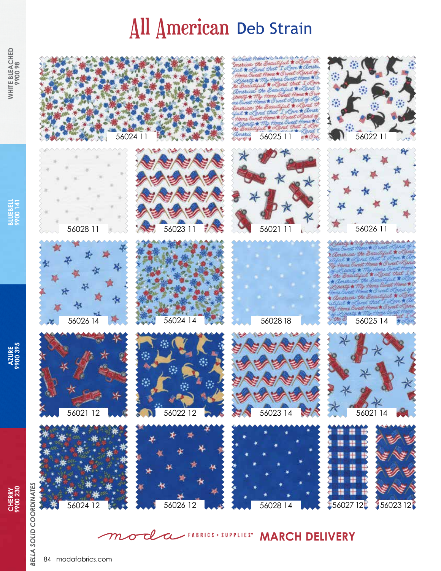## All American Deb Strain



rerica the Be and that 人生  $24$ uk

56021 11

56028 18











**BLUEBELL BLUEBELL**<br>9900 141

**WHITE BLEACHED WHITE BLEACHED**<br>9900 98



*BELLA SOLID COORDINATES*

**BELLA SOLID COORDINATES** 





america the Be 56024 14 3 2 3 56028 18 3 3 3 4 56025 14





#### Tl **WARCH DELIVERY**